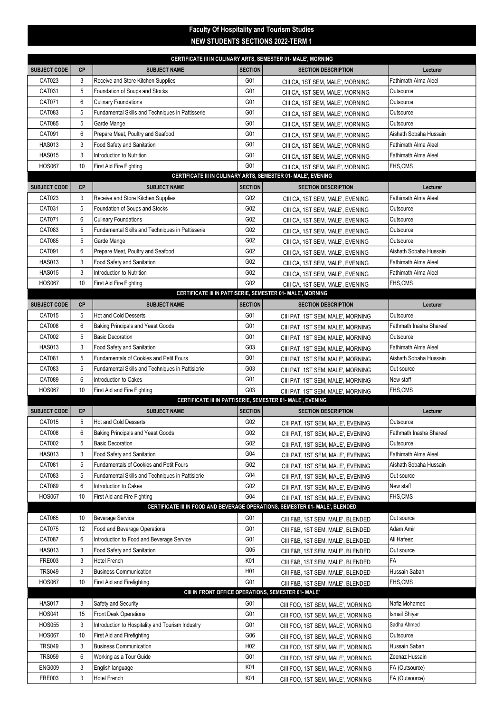## Faculty Of Hospitality and Tourism Studies NEW STUDENTS SECTIONS 2022-TERM 1

| CERTIFICATE III IN CULINARY ARTS, SEMESTER 01- MALE', MORNING                |                |                                                  |                 |                                                            |                             |  |  |  |
|------------------------------------------------------------------------------|----------------|--------------------------------------------------|-----------------|------------------------------------------------------------|-----------------------------|--|--|--|
| <b>SUBJECT CODE</b>                                                          | <b>CP</b>      | <b>SUBJECT NAME</b>                              | <b>SECTION</b>  | <b>SECTION DESCRIPTION</b>                                 | Lecturer                    |  |  |  |
| CAT023                                                                       | 3              | Receive and Store Kitchen Supplies               | G01             | CIII CA, 1ST SEM, MALE', MORNING                           | <b>Fathimath Alma Aleel</b> |  |  |  |
| CAT031                                                                       | 5              | Foundation of Soups and Stocks                   | G01             | CIII CA, 1ST SEM, MALE', MORNING                           | Outsource                   |  |  |  |
| CAT071                                                                       | 6              | <b>Culinary Foundations</b>                      | G01             | CIII CA, 1ST SEM, MALE', MORNING                           | Outsource                   |  |  |  |
| CAT083                                                                       | 5              | Fundamental Skills and Techniques in Pattisserie | G01             | CIII CA, 1ST SEM, MALE', MORNING                           | Outsource                   |  |  |  |
| CAT085                                                                       | 5              | Garde Mange                                      | G01             | CIII CA, 1ST SEM, MALE', MORNING                           | Outsource                   |  |  |  |
| CAT091                                                                       | 6              | Prepare Meat, Poultry and Seafood                | G01             | CIII CA, 1ST SEM, MALE', MORNING                           | Aishath Sobaha Hussain      |  |  |  |
| <b>HAS013</b>                                                                | 3              | Food Safety and Sanitation                       | G01             | CIII CA, 1ST SEM, MALE', MORNING                           | Fathimath Alma Aleel        |  |  |  |
| <b>HAS015</b>                                                                | 3              | Introduction to Nutrition                        | G01             | CIII CA, 1ST SEM, MALE', MORNING                           | Fathimath Alma Aleel        |  |  |  |
| <b>HOS067</b>                                                                | 10             | First Aid Fire Fighting                          | G01             | CIII CA, 1ST SEM, MALE', MORNING                           | FHS,CMS                     |  |  |  |
| CERTIFICATE III IN CULINARY ARTS, SEMESTER 01- MALE', EVENING                |                |                                                  |                 |                                                            |                             |  |  |  |
| <b>SUBJECT CODE</b>                                                          | <b>CP</b>      | <b>SUBJECT NAME</b>                              | <b>SECTION</b>  | <b>SECTION DESCRIPTION</b>                                 | Lecturer                    |  |  |  |
| CAT023                                                                       | 3              | Receive and Store Kitchen Supplies               | G02             | CIII CA, 1ST SEM, MALE', EVENING                           | <b>Fathimath Alma Aleel</b> |  |  |  |
| CAT031                                                                       | 5              | Foundation of Soups and Stocks                   | G02             | CIII CA, 1ST SEM, MALE', EVENING                           | Outsource                   |  |  |  |
| CAT071                                                                       | 6              | <b>Culinary Foundations</b>                      | G02             | CIII CA, 1ST SEM, MALE', EVENING                           | Outsource                   |  |  |  |
| CAT083                                                                       | 5              | Fundamental Skills and Techniques in Pattisserie | G02             | CIII CA, 1ST SEM, MALE', EVENING                           | Outsource                   |  |  |  |
| CAT085                                                                       | 5              | Garde Mange                                      | G02             | CIII CA, 1ST SEM, MALE', EVENING                           | Outsource                   |  |  |  |
| <b>CAT091</b>                                                                | 6              | Prepare Meat, Poultry and Seafood                | G02             | CIII CA, 1ST SEM, MALE', EVENING                           | Aishath Sobaha Hussain      |  |  |  |
| <b>HAS013</b>                                                                | 3              | Food Safety and Sanitation                       | G02             | CIII CA, 1ST SEM, MALE', EVENING                           | Fathimath Alma Aleel        |  |  |  |
| <b>HAS015</b>                                                                | 3              | Introduction to Nutrition                        | G02             | CIII CA, 1ST SEM, MALE', EVENING                           | Fathimath Alma Aleel        |  |  |  |
| <b>HOS067</b>                                                                | 10             | <b>First Aid Fire Fighting</b>                   | G02             | CIII CA, 1ST SEM, MALE', EVENING                           | FHS,CMS                     |  |  |  |
|                                                                              |                |                                                  |                 | CERTIFICATE III IN PATTISERIE, SEMESTER 01- MALE', MORNING |                             |  |  |  |
| <b>SUBJECT CODE</b>                                                          | <b>CP</b>      | <b>SUBJECT NAME</b>                              | <b>SECTION</b>  | <b>SECTION DESCRIPTION</b>                                 | Lecturer                    |  |  |  |
| CAT015                                                                       | 5              | <b>Hot and Cold Desserts</b>                     | G01             | CIII PAT, 1ST SEM, MALE', MORNING                          | Outsource                   |  |  |  |
| <b>CAT008</b>                                                                | 6              | <b>Baking Principals and Yeast Goods</b>         | G01             | CIII PAT, 1ST SEM, MALE', MORNING                          | Fathmath Inasha Shareef     |  |  |  |
| CAT002                                                                       | 5              | <b>Basic Decoration</b>                          | G01             | CIII PAT, 1ST SEM, MALE', MORNING                          | Outsource                   |  |  |  |
| <b>HAS013</b>                                                                | 3              | Food Safety and Sanitation                       | G03             | CIII PAT, 1ST SEM, MALE', MORNING                          | Fathimath Alma Aleel        |  |  |  |
| CAT081                                                                       | 5              | <b>Fundamentals of Cookies and Petit Fours</b>   | G01             | CIII PAT, 1ST SEM, MALE', MORNING                          | Aishath Sobaha Hussain      |  |  |  |
| CAT083                                                                       | 5              | Fundamental Skills and Techniques in Pattisierie | G03             | CIII PAT, 1ST SEM, MALE', MORNING                          | Out source                  |  |  |  |
| CAT089                                                                       | $6\phantom{1}$ | Introduction to Cakes                            | G01             | CIII PAT, 1ST SEM, MALE', MORNING                          | New staff                   |  |  |  |
| <b>HOS067</b>                                                                | 10             | <b>First Aid and Fire Fighting</b>               | G03             | CIII PAT, 1ST SEM, MALE', MORNING                          | FHS,CMS                     |  |  |  |
|                                                                              |                |                                                  |                 | CERTIFICATE III IN PATTISERIE, SEMESTER 01- MALE', EVENING |                             |  |  |  |
| <b>SUBJECT CODE</b>                                                          | <b>CP</b>      | <b>SUBJECT NAME</b>                              | <b>SECTION</b>  | <b>SECTION DESCRIPTION</b>                                 | Lecturer                    |  |  |  |
| CAT015                                                                       | 5              | <b>Hot and Cold Desserts</b>                     | G02             | CIII PAT, 1ST SEM, MALE', EVENING                          | Outsource                   |  |  |  |
| <b>CAT008</b>                                                                | 6              | <b>Baking Principals and Yeast Goods</b>         | G02             | CIII PAT, 1ST SEM, MALE', EVENING                          | Fathmath Inasha Shareef     |  |  |  |
| CAT002                                                                       | 5              | <b>Basic Decoration</b>                          | G02             | CIII PAT, 1ST SEM, MALE', EVENING                          | Outsource                   |  |  |  |
| <b>HAS013</b>                                                                | 3              | Food Safety and Sanitation                       | G04             | CIII PAT, 1ST SEM, MALE', EVENING                          | Fathimath Alma Aleel        |  |  |  |
| CAT081                                                                       | 5              | Fundamentals of Cookies and Petit Fours          | G02             | CIII PAT, 1ST SEM, MALE', EVENING                          | Aishath Sobaha Hussain      |  |  |  |
| CAT083                                                                       | 5              | Fundamental Skills and Techniques in Pattisierie | G <sub>04</sub> | CIII PAT, 1ST SEM, MALE', EVENING                          | Out source                  |  |  |  |
| <b>CAT089</b>                                                                | 6              | <b>Introduction to Cakes</b>                     | G02             | CIII PAT, 1ST SEM, MALE', EVENING                          | New staff                   |  |  |  |
| <b>HOS067</b>                                                                | 10             | First Aid and Fire Fighting                      | G04             | CIII PAT, 1ST SEM, MALE', EVENING                          | FHS,CMS                     |  |  |  |
| CERTIFICATE III IN FOOD AND BEVERAGE OPERATIONS, SEMESTER 01- MALE', BLENDED |                |                                                  |                 |                                                            |                             |  |  |  |
| CAT065                                                                       | 10             | Beverage Service                                 | G01             | CIII F&B, 1ST SEM, MALE', BLENDED                          | Out source                  |  |  |  |
| CAT075                                                                       | 12             | Food and Beverage Operations                     | G01             | CIII F&B, 1ST SEM, MALE', BLENDED                          | Adam Amir                   |  |  |  |
| <b>CAT087</b>                                                                | 6              | Introduction to Food and Beverage Service        | G01             | CIII F&B, 1ST SEM, MALE', BLENDED                          | Ali Hafeez                  |  |  |  |
| <b>HAS013</b>                                                                | 3              | Food Safety and Sanitation                       | G <sub>05</sub> | CIII F&B, 1ST SEM, MALE', BLENDED                          | Out source                  |  |  |  |
| <b>FRE003</b>                                                                | 3              | <b>Hotel French</b>                              | K01             | CIII F&B, 1ST SEM, MALE', BLENDED                          | FA                          |  |  |  |
| <b>TRS049</b>                                                                | 3              | <b>Business Communication</b>                    | H <sub>01</sub> | CIII F&B, 1ST SEM, MALE', BLENDED                          | Hussain Sabah               |  |  |  |
| <b>HOS067</b>                                                                | 10             | First Aid and Firefighting                       | G01             | CIII F&B, 1ST SEM, MALE', BLENDED                          | FHS,CMS                     |  |  |  |
|                                                                              |                |                                                  |                 | CIII IN FRONT OFFICE OPERATIONS, SEMESTER 01- MALE'        |                             |  |  |  |
| <b>HAS017</b>                                                                | 3              | Safety and Security                              | G01             | CIII FOO, 1ST SEM, MALE', MORNING                          | Nafiz Mohamed               |  |  |  |
| <b>HOS041</b>                                                                | 15             | <b>Front Desk Operations</b>                     | G01             | CIII FOO, 1ST SEM, MALE', MORNING                          | Ismail Shiyar               |  |  |  |
| <b>HOS055</b>                                                                | 3              | Introduction to Hospitality and Tourism Industry | G01             | CIII FOO, 1ST SEM, MALE', MORNING                          | Sadha Ahmed                 |  |  |  |
| <b>HOS067</b>                                                                | 10             | First Aid and Firefighting                       | G06             | CIII FOO, 1ST SEM, MALE', MORNING                          | Outsource                   |  |  |  |
| <b>TRS049</b>                                                                | 3              | <b>Business Communication</b>                    | H02             | CIII FOO, 1ST SEM, MALE', MORNING                          | Hussain Sabah               |  |  |  |
| <b>TRS059</b>                                                                | 6              | Working as a Tour Guide                          | G01             | CIII FOO, 1ST SEM, MALE', MORNING                          | Zeenaz Hussain              |  |  |  |
| ENG009                                                                       | 3              | English language                                 | K01             | CIII FOO, 1ST SEM, MALE', MORNING                          | FA (Outsource)              |  |  |  |
| FRE003                                                                       | 3              | Hotel French                                     | K01             | CIII FOO, 1ST SEM, MALE', MORNING                          | FA (Outsource)              |  |  |  |
|                                                                              |                |                                                  |                 |                                                            |                             |  |  |  |